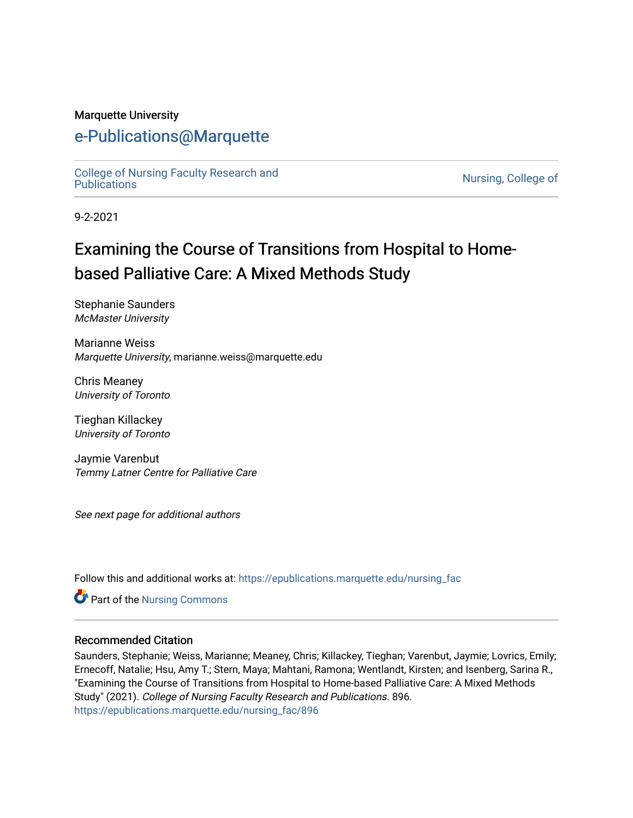#### Marquette University

## [e-Publications@Marquette](https://epublications.marquette.edu/)

[College of Nursing Faculty Research and](https://epublications.marquette.edu/nursing_fac)<br>Publications

Nursing, College of

9-2-2021

# Examining the Course of Transitions from Hospital to Homebased Palliative Care: A Mixed Methods Study

Stephanie Saunders McMaster University

Marianne Weiss Marquette University, marianne.weiss@marquette.edu

Chris Meaney University of Toronto

Tieghan Killackey University of Toronto

Jaymie Varenbut Temmy Latner Centre for Palliative Care

See next page for additional authors

Follow this and additional works at: [https://epublications.marquette.edu/nursing\\_fac](https://epublications.marquette.edu/nursing_fac?utm_source=epublications.marquette.edu%2Fnursing_fac%2F896&utm_medium=PDF&utm_campaign=PDFCoverPages)

Part of the [Nursing Commons](http://network.bepress.com/hgg/discipline/718?utm_source=epublications.marquette.edu%2Fnursing_fac%2F896&utm_medium=PDF&utm_campaign=PDFCoverPages) 

#### Recommended Citation

Saunders, Stephanie; Weiss, Marianne; Meaney, Chris; Killackey, Tieghan; Varenbut, Jaymie; Lovrics, Emily; Ernecoff, Natalie; Hsu, Amy T.; Stern, Maya; Mahtani, Ramona; Wentlandt, Kirsten; and Isenberg, Sarina R., "Examining the Course of Transitions from Hospital to Home-based Palliative Care: A Mixed Methods Study" (2021). College of Nursing Faculty Research and Publications. 896. [https://epublications.marquette.edu/nursing\\_fac/896](https://epublications.marquette.edu/nursing_fac/896?utm_source=epublications.marquette.edu%2Fnursing_fac%2F896&utm_medium=PDF&utm_campaign=PDFCoverPages)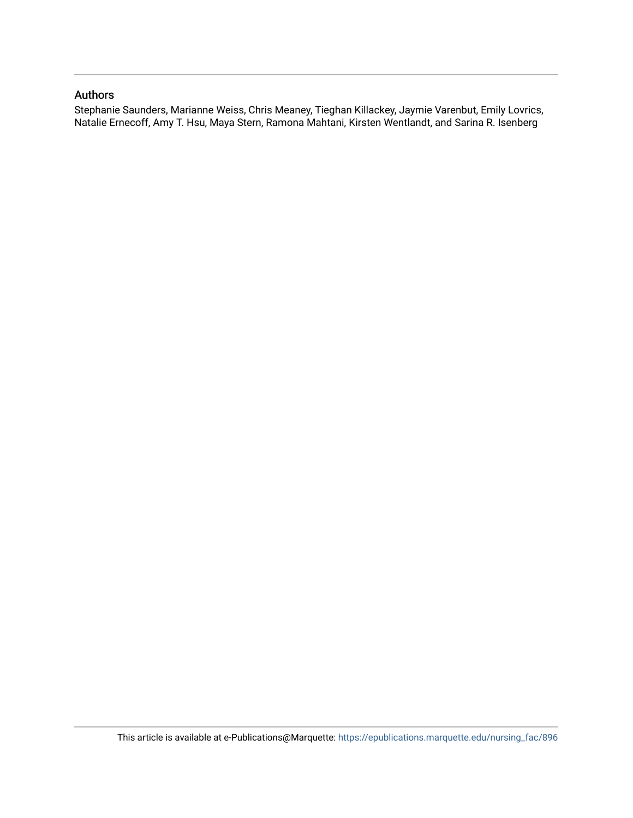#### Authors

Stephanie Saunders, Marianne Weiss, Chris Meaney, Tieghan Killackey, Jaymie Varenbut, Emily Lovrics, Natalie Ernecoff, Amy T. Hsu, Maya Stern, Ramona Mahtani, Kirsten Wentlandt, and Sarina R. Isenberg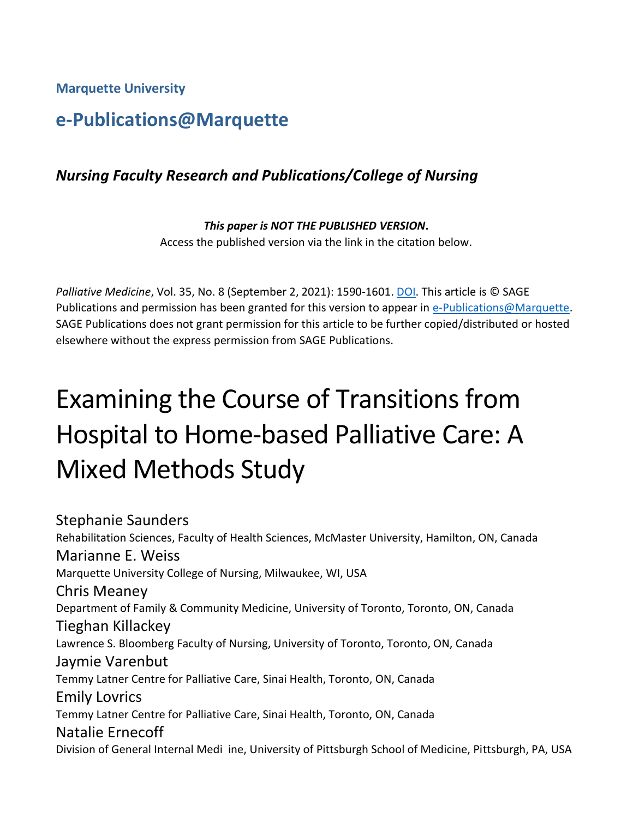**Marquette University**

# **e-Publications@Marquette**

## *Nursing Faculty Research and Publications/College of Nursing*

*This paper is NOT THE PUBLISHED VERSION***.**  Access the published version via the link in the citation below.

*Palliative Medicine*, Vol. 35, No. 8 (September 2, 2021): 1590-1601[. DOI.](https://doi.org/10.1177%2F02692163211023682) This article is © SAGE Publications and permission has been granted for this version to appear in [e-Publications@Marquette.](http://epublications.marquette.edu/) SAGE Publications does not grant permission for this article to be further copied/distributed or hosted elsewhere without the express permission from SAGE Publications.

# Examining the Course of Transitions from Hospital to Home-based Palliative Care: A Mixed Methods Study

Stephanie Saunders Rehabilitation Sciences, Faculty of Health Sciences, McMaster University, Hamilton, ON, Canada Marianne E. Weiss Marquette University College of Nursing, Milwaukee, WI, USA Chris Meaney Department of Family & Community Medicine, University of Toronto, Toronto, ON, Canada Tieghan Killackey Lawrence S. Bloomberg Faculty of Nursing, University of Toronto, Toronto, ON, Canada Jaymie Varenbut Temmy Latner Centre for Palliative Care, Sinai Health, Toronto, ON, Canada Emily Lovrics Temmy Latner Centre for Palliative Care, Sinai Health, Toronto, ON, Canada Natalie Ernecoff Division of General Internal Medi ine, University of Pittsburgh School of Medicine, Pittsburgh, PA, USA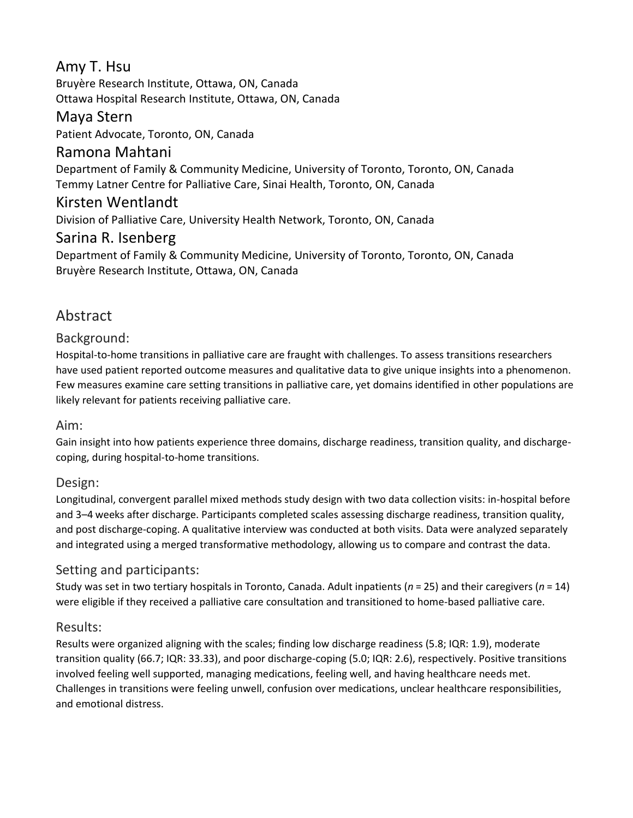## Amy T. Hsu

Bruyère Research Institute, Ottawa, ON, Canada Ottawa Hospital Research Institute, Ottawa, ON, Canada

## Maya Stern

Patient Advocate, Toronto, ON, Canada

## Ramona Mahtani

Department of Family & Community Medicine, University of Toronto, Toronto, ON, Canada Temmy Latner Centre for Palliative Care, Sinai Health, Toronto, ON, Canada

#### Kirsten Wentlandt

Division of Palliative Care, University Health Network, Toronto, ON, Canada

#### Sarina R. Isenberg

Department of Family & Community Medicine, University of Toronto, Toronto, ON, Canada Bruyère Research Institute, Ottawa, ON, Canada

## Abstract

#### Background:

Hospital-to-home transitions in palliative care are fraught with challenges. To assess transitions researchers have used patient reported outcome measures and qualitative data to give unique insights into a phenomenon. Few measures examine care setting transitions in palliative care, yet domains identified in other populations are likely relevant for patients receiving palliative care.

#### Aim:

Gain insight into how patients experience three domains, discharge readiness, transition quality, and dischargecoping, during hospital-to-home transitions.

#### Design:

Longitudinal, convergent parallel mixed methods study design with two data collection visits: in-hospital before and 3–4 weeks after discharge. Participants completed scales assessing discharge readiness, transition quality, and post discharge-coping. A qualitative interview was conducted at both visits. Data were analyzed separately and integrated using a merged transformative methodology, allowing us to compare and contrast the data.

#### Setting and participants:

Study was set in two tertiary hospitals in Toronto, Canada. Adult inpatients (*n* = 25) and their caregivers (*n* = 14) were eligible if they received a palliative care consultation and transitioned to home-based palliative care.

#### Results:

Results were organized aligning with the scales; finding low discharge readiness (5.8; IQR: 1.9), moderate transition quality (66.7; IQR: 33.33), and poor discharge-coping (5.0; IQR: 2.6), respectively. Positive transitions involved feeling well supported, managing medications, feeling well, and having healthcare needs met. Challenges in transitions were feeling unwell, confusion over medications, unclear healthcare responsibilities, and emotional distress.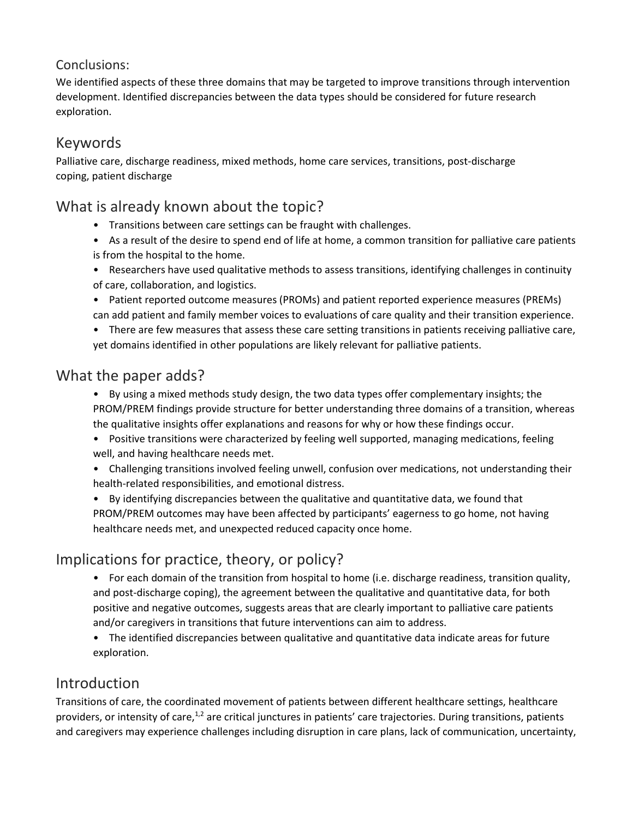## Conclusions:

We identified aspects of these three domains that may be targeted to improve transitions through intervention development. Identified discrepancies between the data types should be considered for future research exploration.

# Keywords

Palliative care, discharge readiness, mixed methods, home care services, transitions, post-discharge coping, patient discharge

## What is already known about the topic?

- Transitions between care settings can be fraught with challenges.
- As a result of the desire to spend end of life at home, a common transition for palliative care patients is from the hospital to the home.
- Researchers have used qualitative methods to assess transitions, identifying challenges in continuity of care, collaboration, and logistics.
- Patient reported outcome measures (PROMs) and patient reported experience measures (PREMs) can add patient and family member voices to evaluations of care quality and their transition experience.
- There are few measures that assess these care setting transitions in patients receiving palliative care, yet domains identified in other populations are likely relevant for palliative patients.

## What the paper adds?

- By using a mixed methods study design, the two data types offer complementary insights; the PROM/PREM findings provide structure for better understanding three domains of a transition, whereas the qualitative insights offer explanations and reasons for why or how these findings occur.
- Positive transitions were characterized by feeling well supported, managing medications, feeling well, and having healthcare needs met.
- Challenging transitions involved feeling unwell, confusion over medications, not understanding their health-related responsibilities, and emotional distress.
- By identifying discrepancies between the qualitative and quantitative data, we found that PROM/PREM outcomes may have been affected by participants' eagerness to go home, not having healthcare needs met, and unexpected reduced capacity once home.

# Implications for practice, theory, or policy?

- For each domain of the transition from hospital to home (i.e. discharge readiness, transition quality, and post-discharge coping), the agreement between the qualitative and quantitative data, for both positive and negative outcomes, suggests areas that are clearly important to palliative care patients and/or caregivers in transitions that future interventions can aim to address.
- The identified discrepancies between qualitative and quantitative data indicate areas for future exploration.

# Introduction

Transitions of care, the coordinated movement of patients between different healthcare settings, healthcare providers, or intensity of care, $1,2$  are critical junctures in patients' care trajectories. During transitions, patients and caregivers may experience challenges including disruption in care plans, lack of communication, uncertainty,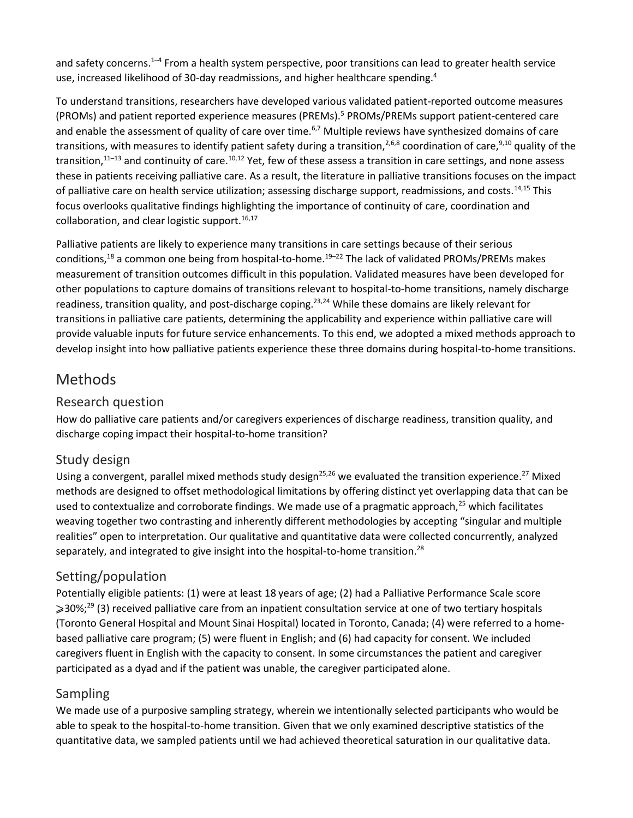and safety concerns.<sup>1–4</sup> From a health system perspective, poor transitions can lead to greater health service use, increased likelihood of 30-day readmissions, and higher healthcare spending.<sup>4</sup>

To understand transitions, researchers have developed various validated patient-reported outcome measures (PROMs) and patient reported experience measures (PREMs).<sup>5</sup> PROMs/PREMs support patient-centered care and enable the assessment of quality of care over time.<sup>6,7</sup> Multiple reviews have synthesized domains of care transitions, with measures to identify patient safety during a transition,<sup>2,6,8</sup> coordination of care,<sup>9,10</sup> quality of the transition, $11-13$  and continuity of care. $10,12$  Yet, few of these assess a transition in care settings, and none assess these in patients receiving palliative care. As a result, the literature in palliative transitions focuses on the impact of palliative care on health service utilization; assessing discharge support, readmissions, and costs.14,15 This focus overlooks qualitative findings highlighting the importance of continuity of care, coordination and collaboration, and clear logistic support.  $16,17$ 

Palliative patients are likely to experience many transitions in care settings because of their serious conditions,<sup>18</sup> a common one being from hospital-to-home.<sup>19–22</sup> The lack of validated PROMs/PREMs makes measurement of transition outcomes difficult in this population. Validated measures have been developed for other populations to capture domains of transitions relevant to hospital-to-home transitions, namely discharge readiness, transition quality, and post-discharge coping.<sup>23,24</sup> While these domains are likely relevant for transitions in palliative care patients, determining the applicability and experience within palliative care will provide valuable inputs for future service enhancements. To this end, we adopted a mixed methods approach to develop insight into how palliative patients experience these three domains during hospital-to-home transitions.

# Methods

#### Research question

How do palliative care patients and/or caregivers experiences of discharge readiness, transition quality, and discharge coping impact their hospital-to-home transition?

## Study design

Using a convergent, parallel mixed methods study design<sup>25,26</sup> we evaluated the transition experience.<sup>27</sup> Mixed methods are designed to offset methodological limitations by offering distinct yet overlapping data that can be used to contextualize and corroborate findings. We made use of a pragmatic approach,<sup>25</sup> which facilitates weaving together two contrasting and inherently different methodologies by accepting "singular and multiple realities" open to interpretation. Our qualitative and quantitative data were collected concurrently, analyzed separately, and integrated to give insight into the hospital-to-home transition.<sup>28</sup>

## Setting/population

Potentially eligible patients: (1) were at least 18 years of age; (2) had a Palliative Performance Scale score  $\geqslant$ 30%;<sup>29</sup> (3) received palliative care from an inpatient consultation service at one of two tertiary hospitals (Toronto General Hospital and Mount Sinai Hospital) located in Toronto, Canada; (4) were referred to a homebased palliative care program; (5) were fluent in English; and (6) had capacity for consent. We included caregivers fluent in English with the capacity to consent. In some circumstances the patient and caregiver participated as a dyad and if the patient was unable, the caregiver participated alone.

## Sampling

We made use of a purposive sampling strategy, wherein we intentionally selected participants who would be able to speak to the hospital-to-home transition. Given that we only examined descriptive statistics of the quantitative data, we sampled patients until we had achieved theoretical saturation in our qualitative data.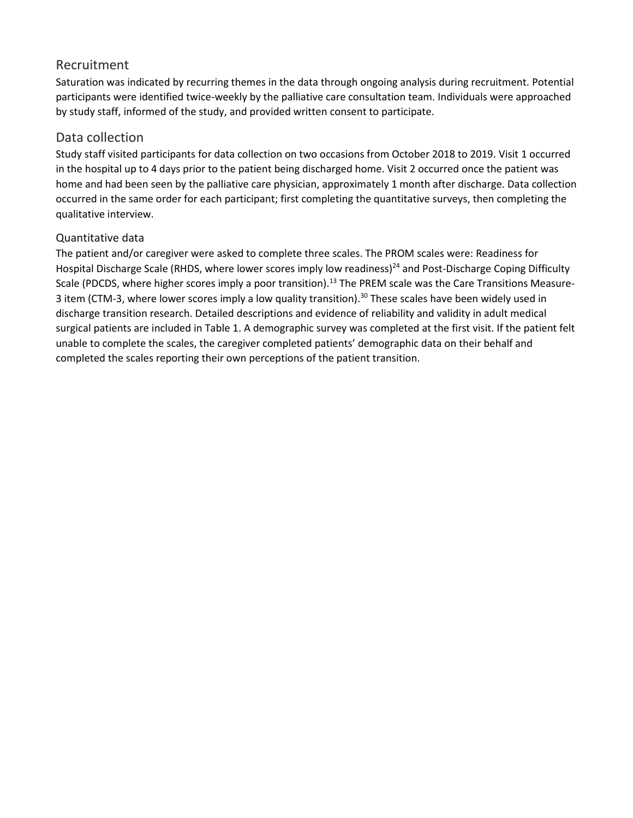#### Recruitment

Saturation was indicated by recurring themes in the data through ongoing analysis during recruitment. Potential participants were identified twice-weekly by the palliative care consultation team. Individuals were approached by study staff, informed of the study, and provided written consent to participate.

#### Data collection

Study staff visited participants for data collection on two occasions from October 2018 to 2019. Visit 1 occurred in the hospital up to 4 days prior to the patient being discharged home. Visit 2 occurred once the patient was home and had been seen by the palliative care physician, approximately 1 month after discharge. Data collection occurred in the same order for each participant; first completing the quantitative surveys, then completing the qualitative interview.

#### Quantitative data

The patient and/or caregiver were asked to complete three scales. The PROM scales were: Readiness for Hospital Discharge Scale (RHDS, where lower scores imply low readiness)<sup>24</sup> and Post-Discharge Coping Difficulty Scale (PDCDS, where higher scores imply a poor transition).<sup>13</sup> The PREM scale was the Care Transitions Measure-3 item (CTM-3, where lower scores imply a low quality transition).<sup>30</sup> These scales have been widely used in discharge transition research. Detailed descriptions and evidence of reliability and validity in adult medical surgical patients are included in Table 1. A demographic survey was completed at the first visit. If the patient felt unable to complete the scales, the caregiver completed patients' demographic data on their behalf and completed the scales reporting their own perceptions of the patient transition.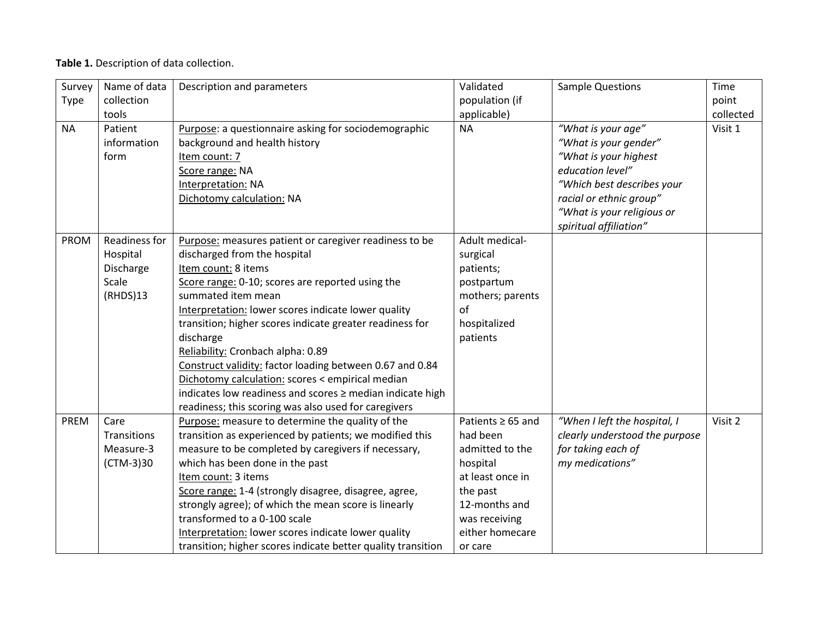#### **Table 1.** Description of data collection.

| Survey      | Name of data  | Description and parameters                                   | Validated              | <b>Sample Questions</b>        | Time      |
|-------------|---------------|--------------------------------------------------------------|------------------------|--------------------------------|-----------|
| Type        | collection    |                                                              | population (if         |                                | point     |
|             | tools         |                                                              | applicable)            |                                | collected |
| <b>NA</b>   | Patient       | Purpose: a questionnaire asking for sociodemographic         | <b>NA</b>              | "What is your age"             | Visit 1   |
|             | information   | background and health history                                |                        | "What is your gender"          |           |
|             | form          | Item count: 7                                                |                        | "What is your highest          |           |
|             |               | Score range: NA                                              |                        | education level"               |           |
|             |               | Interpretation: NA                                           |                        | "Which best describes your     |           |
|             |               | Dichotomy calculation: NA                                    |                        | racial or ethnic group"        |           |
|             |               |                                                              |                        | "What is your religious or     |           |
|             |               |                                                              |                        | spiritual affiliation"         |           |
| <b>PROM</b> | Readiness for | Purpose: measures patient or caregiver readiness to be       | Adult medical-         |                                |           |
|             | Hospital      | discharged from the hospital                                 | surgical               |                                |           |
|             | Discharge     | Item count: 8 items                                          | patients;              |                                |           |
|             | Scale         | Score range: 0-10; scores are reported using the             | postpartum             |                                |           |
|             | (RHDS)13      | summated item mean                                           | mothers; parents       |                                |           |
|             |               | Interpretation: lower scores indicate lower quality          | of                     |                                |           |
|             |               | transition; higher scores indicate greater readiness for     | hospitalized           |                                |           |
|             |               | discharge                                                    | patients               |                                |           |
|             |               | Reliability: Cronbach alpha: 0.89                            |                        |                                |           |
|             |               | Construct validity: factor loading between 0.67 and 0.84     |                        |                                |           |
|             |               | Dichotomy calculation: scores < empirical median             |                        |                                |           |
|             |               | indicates low readiness and scores ≥ median indicate high    |                        |                                |           |
|             |               | readiness; this scoring was also used for caregivers         |                        |                                |           |
| PREM        | Care          | Purpose: measure to determine the quality of the             | Patients $\geq 65$ and | "When I left the hospital, I   | Visit 2   |
|             | Transitions   | transition as experienced by patients; we modified this      | had been               | clearly understood the purpose |           |
|             | Measure-3     | measure to be completed by caregivers if necessary,          | admitted to the        | for taking each of             |           |
|             | (CTM-3)30     | which has been done in the past                              | hospital               | my medications"                |           |
|             |               | Item count: 3 items                                          | at least once in       |                                |           |
|             |               | Score range: 1-4 (strongly disagree, disagree, agree,        | the past               |                                |           |
|             |               | strongly agree); of which the mean score is linearly         | 12-months and          |                                |           |
|             |               | transformed to a 0-100 scale                                 | was receiving          |                                |           |
|             |               | Interpretation: lower scores indicate lower quality          | either homecare        |                                |           |
|             |               | transition; higher scores indicate better quality transition | or care                |                                |           |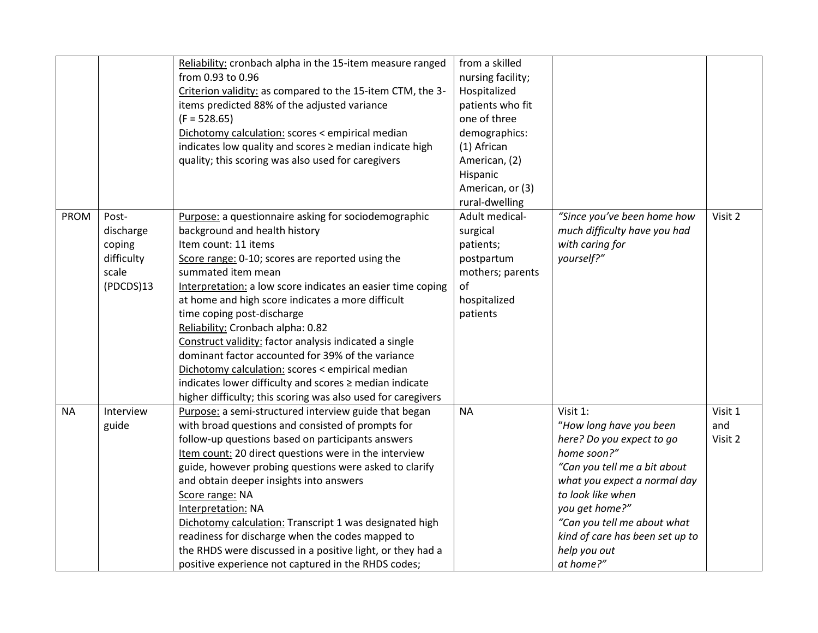|             |            | Reliability: cronbach alpha in the 15-item measure ranged    | from a skilled    |                                 |         |
|-------------|------------|--------------------------------------------------------------|-------------------|---------------------------------|---------|
|             |            | from 0.93 to 0.96                                            | nursing facility; |                                 |         |
|             |            | Criterion validity: as compared to the 15-item CTM, the 3-   | Hospitalized      |                                 |         |
|             |            | items predicted 88% of the adjusted variance                 | patients who fit  |                                 |         |
|             |            | $(F = 528.65)$                                               | one of three      |                                 |         |
|             |            | Dichotomy calculation: scores < empirical median             | demographics:     |                                 |         |
|             |            | indicates low quality and scores ≥ median indicate high      | (1) African       |                                 |         |
|             |            | quality; this scoring was also used for caregivers           | American, (2)     |                                 |         |
|             |            |                                                              | Hispanic          |                                 |         |
|             |            |                                                              | American, or (3)  |                                 |         |
|             |            |                                                              |                   |                                 |         |
|             |            |                                                              | rural-dwelling    |                                 |         |
| <b>PROM</b> | Post-      | Purpose: a questionnaire asking for sociodemographic         | Adult medical-    | "Since you've been home how     | Visit 2 |
|             | discharge  | background and health history                                | surgical          | much difficulty have you had    |         |
|             | coping     | Item count: 11 items                                         | patients;         | with caring for                 |         |
|             | difficulty | Score range: 0-10; scores are reported using the             | postpartum        | yourself?"                      |         |
|             | scale      | summated item mean                                           | mothers; parents  |                                 |         |
|             | (PDCDS)13  | Interpretation: a low score indicates an easier time coping  | of                |                                 |         |
|             |            | at home and high score indicates a more difficult            | hospitalized      |                                 |         |
|             |            | time coping post-discharge                                   | patients          |                                 |         |
|             |            | Reliability: Cronbach alpha: 0.82                            |                   |                                 |         |
|             |            | Construct validity: factor analysis indicated a single       |                   |                                 |         |
|             |            | dominant factor accounted for 39% of the variance            |                   |                                 |         |
|             |            | Dichotomy calculation: scores < empirical median             |                   |                                 |         |
|             |            | indicates lower difficulty and scores ≥ median indicate      |                   |                                 |         |
|             |            | higher difficulty; this scoring was also used for caregivers |                   |                                 |         |
| <b>NA</b>   | Interview  | Purpose: a semi-structured interview guide that began        | <b>NA</b>         | Visit 1:                        | Visit 1 |
|             | guide      | with broad questions and consisted of prompts for            |                   | "How long have you been         | and     |
|             |            | follow-up questions based on participants answers            |                   | here? Do you expect to go       | Visit 2 |
|             |            | Item count: 20 direct questions were in the interview        |                   | home soon?"                     |         |
|             |            | guide, however probing questions were asked to clarify       |                   | "Can you tell me a bit about    |         |
|             |            | and obtain deeper insights into answers                      |                   | what you expect a normal day    |         |
|             |            | Score range: NA                                              |                   | to look like when               |         |
|             |            | Interpretation: NA                                           |                   | you get home?"                  |         |
|             |            | Dichotomy calculation: Transcript 1 was designated high      |                   | "Can you tell me about what     |         |
|             |            | readiness for discharge when the codes mapped to             |                   | kind of care has been set up to |         |
|             |            | the RHDS were discussed in a positive light, or they had a   |                   | help you out                    |         |
|             |            | positive experience not captured in the RHDS codes;          |                   | at home?"                       |         |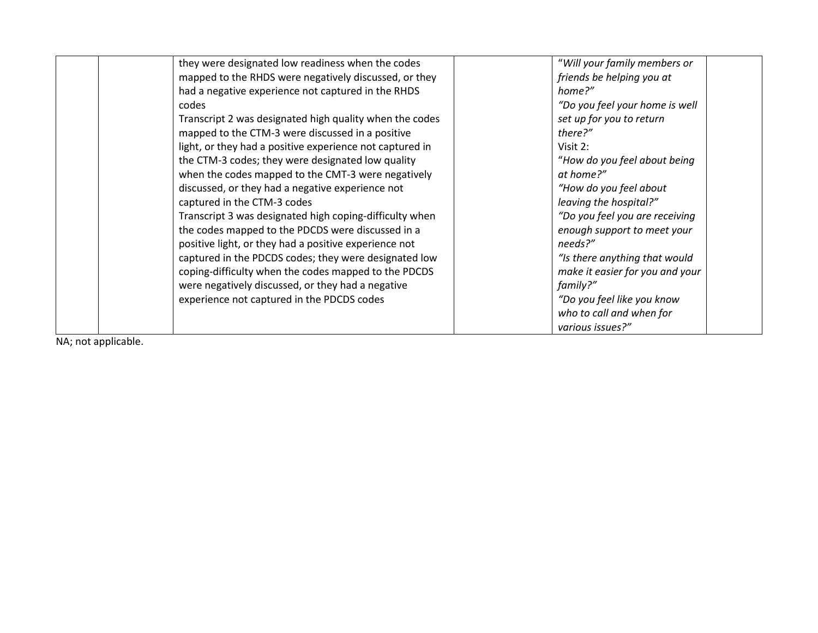| they were designated low readiness when the codes        | "Will your family members or    |
|----------------------------------------------------------|---------------------------------|
| mapped to the RHDS were negatively discussed, or they    | friends be helping you at       |
| had a negative experience not captured in the RHDS       | home?"                          |
| codes                                                    | "Do you feel your home is well  |
| Transcript 2 was designated high quality when the codes  | set up for you to return        |
| mapped to the CTM-3 were discussed in a positive         | there?"                         |
| light, or they had a positive experience not captured in | Visit $2:$                      |
| the CTM-3 codes; they were designated low quality        | "How do you feel about being    |
| when the codes mapped to the CMT-3 were negatively       | at home?"                       |
| discussed, or they had a negative experience not         | "How do you feel about          |
| captured in the CTM-3 codes                              | leaving the hospital?"          |
| Transcript 3 was designated high coping-difficulty when  | "Do you feel you are receiving  |
| the codes mapped to the PDCDS were discussed in a        | enough support to meet your     |
| positive light, or they had a positive experience not    | needs?"                         |
| captured in the PDCDS codes; they were designated low    | "Is there anything that would   |
| coping-difficulty when the codes mapped to the PDCDS     | make it easier for you and your |
| were negatively discussed, or they had a negative        | family?"                        |
| experience not captured in the PDCDS codes               | "Do you feel like you know      |
|                                                          | who to call and when for        |
|                                                          | various issues?"                |

NA; not applicable.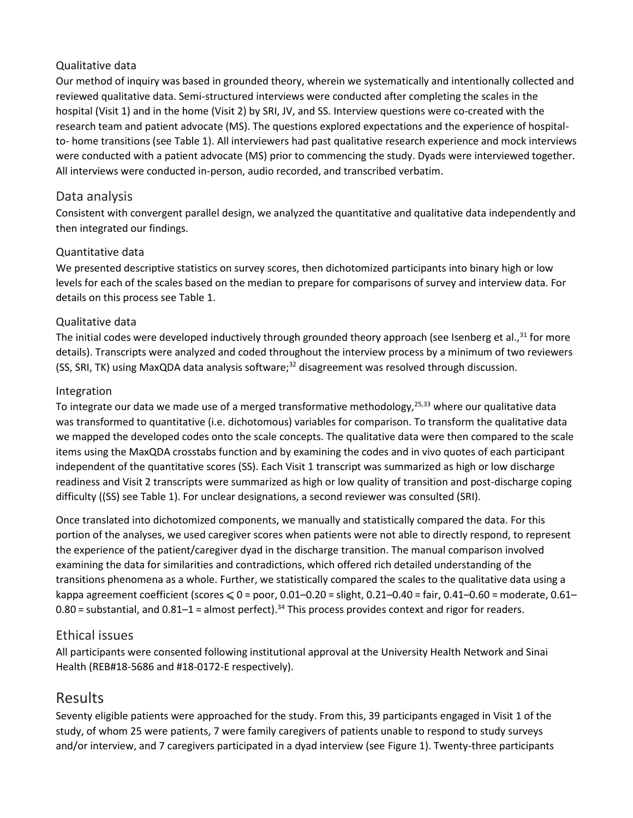#### Qualitative data

Our method of inquiry was based in grounded theory, wherein we systematically and intentionally collected and reviewed qualitative data. Semi-structured interviews were conducted after completing the scales in the hospital (Visit 1) and in the home (Visit 2) by SRI, JV, and SS. Interview questions were co-created with the research team and patient advocate (MS). The questions explored expectations and the experience of hospitalto- home transitions (see Table 1). All interviewers had past qualitative research experience and mock interviews were conducted with a patient advocate (MS) prior to commencing the study. Dyads were interviewed together. All interviews were conducted in-person, audio recorded, and transcribed verbatim.

#### Data analysis

Consistent with convergent parallel design, we analyzed the quantitative and qualitative data independently and then integrated our findings.

#### Quantitative data

We presented descriptive statistics on survey scores, then dichotomized participants into binary high or low levels for each of the scales based on the median to prepare for comparisons of survey and interview data. For details on this process see Table 1.

#### Qualitative data

The initial codes were developed inductively through grounded theory approach (see Isenberg et al.,<sup>31</sup> for more details). Transcripts were analyzed and coded throughout the interview process by a minimum of two reviewers (SS, SRI, TK) using MaxQDA data analysis software;<sup>32</sup> disagreement was resolved through discussion.

#### Integration

To integrate our data we made use of a merged transformative methodology,<sup>25,33</sup> where our qualitative data was transformed to quantitative (i.e. dichotomous) variables for comparison. To transform the qualitative data we mapped the developed codes onto the scale concepts. The qualitative data were then compared to the scale items using the MaxQDA crosstabs function and by examining the codes and in vivo quotes of each participant independent of the quantitative scores (SS). Each Visit 1 transcript was summarized as high or low discharge readiness and Visit 2 transcripts were summarized as high or low quality of transition and post-discharge coping difficulty ((SS) see Table 1). For unclear designations, a second reviewer was consulted (SRI).

Once translated into dichotomized components, we manually and statistically compared the data. For this portion of the analyses, we used caregiver scores when patients were not able to directly respond, to represent the experience of the patient/caregiver dyad in the discharge transition. The manual comparison involved examining the data for similarities and contradictions, which offered rich detailed understanding of the transitions phenomena as a whole. Further, we statistically compared the scales to the qualitative data using a kappa agreement coefficient (scores  $\leqslant 0$  = poor, 0.01–0.20 = slight, 0.21–0.40 = fair, 0.41–0.60 = moderate, 0.61–  $0.80$  = substantial, and  $0.81-1$  = almost perfect).<sup>34</sup> This process provides context and rigor for readers.

#### Ethical issues

All participants were consented following institutional approval at the University Health Network and Sinai Health (REB#18-5686 and #18-0172-E respectively).

## Results

Seventy eligible patients were approached for the study. From this, 39 participants engaged in Visit 1 of the study, of whom 25 were patients, 7 were family caregivers of patients unable to respond to study surveys and/or interview, and 7 caregivers participated in a dyad interview (see Figure 1). Twenty-three participants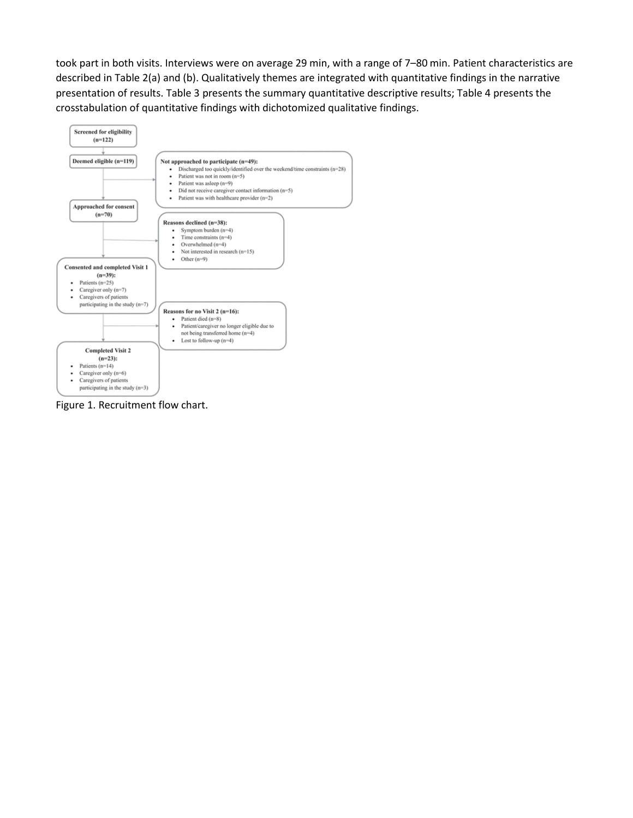took part in both visits. Interviews were on average 29 min, with a range of 7–80 min. Patient characteristics are described in Table 2(a) and (b). Qualitatively themes are integrated with quantitative findings in the narrative presentation of results. Table 3 presents the summary quantitative descriptive results; Table 4 presents the crosstabulation of quantitative findings with dichotomized qualitative findings.



Figure 1. Recruitment flow chart.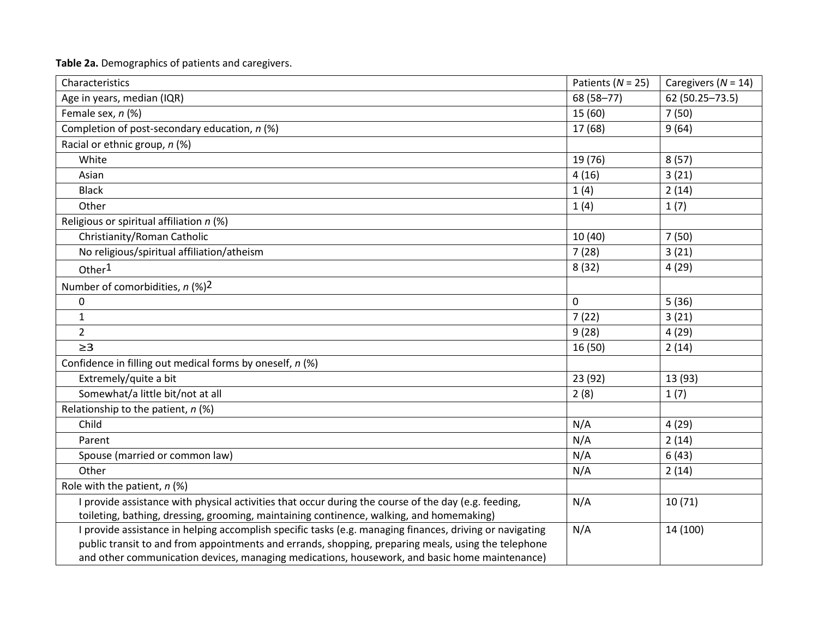**Table 2a.** Demographics of patients and caregivers.

| Characteristics                                                                                          | Patients ( $N = 25$ ) | Caregivers ( $N = 14$ ) |
|----------------------------------------------------------------------------------------------------------|-----------------------|-------------------------|
| Age in years, median (IQR)                                                                               | 68 (58-77)            | 62 (50.25 - 73.5)       |
| Female sex, n (%)                                                                                        | 15 (60)               | 7(50)                   |
| Completion of post-secondary education, n (%)                                                            | 17 (68)               | 9(64)                   |
| Racial or ethnic group, n (%)                                                                            |                       |                         |
| White                                                                                                    | 19 (76)               | 8(57)                   |
| Asian                                                                                                    | 4(16)                 | 3(21)                   |
| <b>Black</b>                                                                                             | 1(4)                  | 2(14)                   |
| Other                                                                                                    | 1(4)                  | 1(7)                    |
| Religious or spiritual affiliation n (%)                                                                 |                       |                         |
| Christianity/Roman Catholic                                                                              | 10 (40)               | 7(50)                   |
| No religious/spiritual affiliation/atheism                                                               | 7(28)                 | 3(21)                   |
| Other <sup>1</sup>                                                                                       | 8(32)                 | 4(29)                   |
| Number of comorbidities, $n$ (%) <sup>2</sup>                                                            |                       |                         |
| 0                                                                                                        | $\mathbf 0$           | 5(36)                   |
| $\mathbf{1}$                                                                                             | 7(22)                 | 3(21)                   |
| $\overline{2}$                                                                                           | 9(28)                 | 4(29)                   |
| $\geq$ 3                                                                                                 | 16 (50)               | 2(14)                   |
| Confidence in filling out medical forms by oneself, n (%)                                                |                       |                         |
| Extremely/quite a bit                                                                                    | 23 (92)               | 13 (93)                 |
| Somewhat/a little bit/not at all                                                                         | 2(8)                  | 1(7)                    |
| Relationship to the patient, $n$ (%)                                                                     |                       |                         |
| Child                                                                                                    | N/A                   | 4(29)                   |
| Parent                                                                                                   | N/A                   | 2(14)                   |
| Spouse (married or common law)                                                                           | N/A                   | 6(43)                   |
| Other                                                                                                    | N/A                   | 2(14)                   |
| Role with the patient, $n$ (%)                                                                           |                       |                         |
| I provide assistance with physical activities that occur during the course of the day (e.g. feeding,     | N/A                   | 10(71)                  |
| toileting, bathing, dressing, grooming, maintaining continence, walking, and homemaking)                 |                       |                         |
| I provide assistance in helping accomplish specific tasks (e.g. managing finances, driving or navigating | N/A                   | 14 (100)                |
| public transit to and from appointments and errands, shopping, preparing meals, using the telephone      |                       |                         |
| and other communication devices, managing medications, housework, and basic home maintenance)            |                       |                         |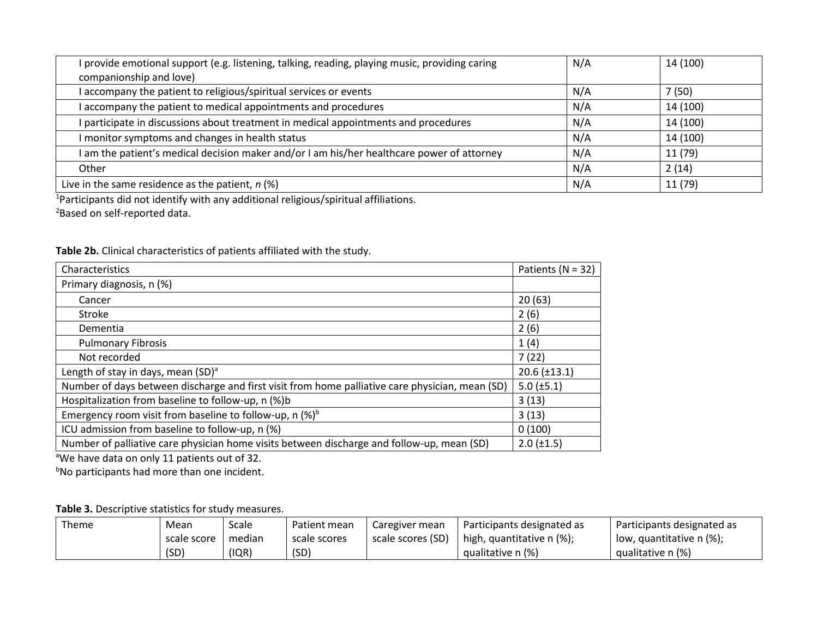| I provide emotional support (e.g. listening, talking, reading, playing music, providing caring | N/A | 14 (100) |
|------------------------------------------------------------------------------------------------|-----|----------|
| companionship and love)                                                                        |     |          |
| I accompany the patient to religious/spiritual services or events                              | N/A | 7(50)    |
| I accompany the patient to medical appointments and procedures                                 | N/A | 14 (100) |
| I participate in discussions about treatment in medical appointments and procedures            | N/A | 14 (100) |
| I monitor symptoms and changes in health status                                                | N/A | 14 (100) |
| I am the patient's medical decision maker and/or I am his/her healthcare power of attorney     | N/A | 11 (79)  |
| Other                                                                                          | N/A | 2(14)    |
| Live in the same residence as the patient, $n$ (%)                                             | N/A | 11 (79)  |

<sup>1</sup>Participants did not identify with any additional religious/spiritual affiliations.

<sup>2</sup>Based on self-reported data.

|  | Table 2b. Clinical characteristics of patients affiliated with the study. |
|--|---------------------------------------------------------------------------|
|--|---------------------------------------------------------------------------|

| Characteristics                                                                                 | Patients ( $N = 32$ ) |
|-------------------------------------------------------------------------------------------------|-----------------------|
| Primary diagnosis, n (%)                                                                        |                       |
| Cancer                                                                                          | 20(63)                |
| Stroke                                                                                          | 2(6)                  |
| Dementia                                                                                        | 2(6)                  |
| <b>Pulmonary Fibrosis</b>                                                                       | 1(4)                  |
| Not recorded                                                                                    | 7(22)                 |
| Length of stay in days, mean (SD) <sup>a</sup>                                                  | $20.6 \ (\pm 13.1)$   |
| Number of days between discharge and first visit from home palliative care physician, mean (SD) | $5.0 \ (\pm 5.1)$     |
| Hospitalization from baseline to follow-up, n (%)b                                              | 3(13)                 |
| Emergency room visit from baseline to follow-up, n $(\%)^b$                                     | 3(13)                 |
| ICU admission from baseline to follow-up, n (%)                                                 | 0(100)                |
| Number of palliative care physician home visits between discharge and follow-up, mean (SD)      | $2.0 \ (\pm 1.5)$     |

<sup>a</sup>We have data on only 11 patients out of 32.

**No participants had more than one incident.** 

#### **Table 3.** Descriptive statistics for study measures.

| Theme | Mean        | Scale  | Patient mean | Caregiver mean    | Participants designated as | Participants designated as |
|-------|-------------|--------|--------------|-------------------|----------------------------|----------------------------|
|       | scale score | median | scale scores | scale scores (SD) | high, quantitative n (%);  | low, quantitative n (%);   |
|       | (SD)        | (IQR)  | (SD)         |                   | qualitative n (%)          | qualitative n (%)          |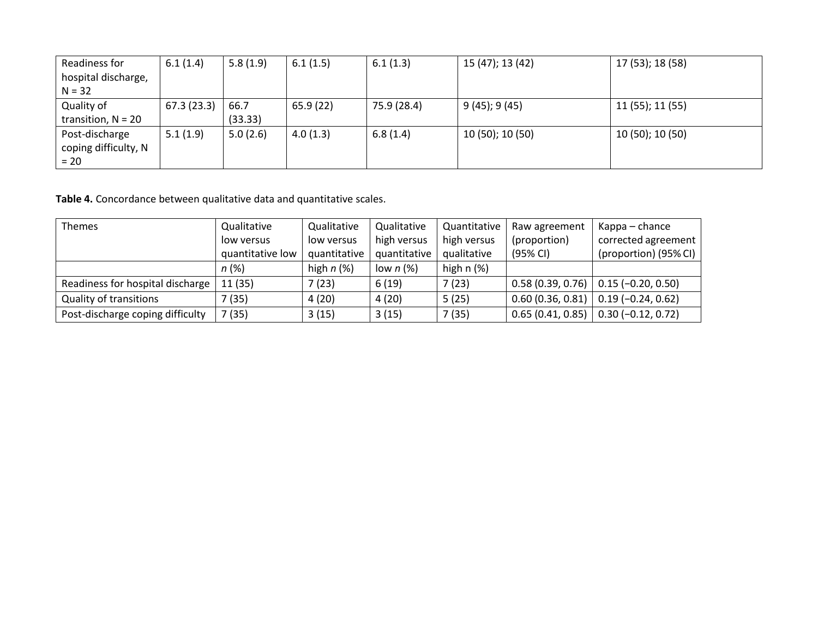| Readiness for        | 6.1(1.4)   | 5.8(1.9) | 6.1(1.5) | 6.1(1.3)    | 15 (47); 13 (42)   | 17 (53); 18 (58) |
|----------------------|------------|----------|----------|-------------|--------------------|------------------|
| hospital discharge,  |            |          |          |             |                    |                  |
| $N = 32$             |            |          |          |             |                    |                  |
| Quality of           | 67.3(23.3) | 66.7     | 65.9(22) | 75.9 (28.4) | $9(45)$ ; 9 $(45)$ | 11 (55); 11 (55) |
| transition, $N = 20$ |            | (33.33)  |          |             |                    |                  |
| Post-discharge       | 5.1(1.9)   | 5.0(2.6) | 4.0(1.3) | 6.8(1.4)    | 10 (50); 10 (50)   | 10 (50); 10 (50) |
| coping difficulty, N |            |          |          |             |                    |                  |
| $= 20$               |            |          |          |             |                    |                  |

**Table 4.** Concordance between qualitative data and quantitative scales.

| <b>Themes</b>                    | Qualitative      | Qualitative  | Qualitative  | Quantitative | Raw agreement    | Kappa – chance        |
|----------------------------------|------------------|--------------|--------------|--------------|------------------|-----------------------|
|                                  | low versus       | low versus   | high versus  | high versus  | (proportion)     | corrected agreement   |
|                                  | quantitative low | quantitative | quantitative | qualitative  | (95% CI)         | (proportion) (95% CI) |
|                                  | $n(\%)$          | high $n$ (%) | low $n$ (%)  | high $n$ (%) |                  |                       |
| Readiness for hospital discharge | 11(35)           | (23)         | 6(19)        | 7(23)        | 0.58(0.39, 0.76) | $0.15 (-0.20, 0.50)$  |
| <b>Quality of transitions</b>    | (35)             | 4(20)        | 4(20)        | 5(25)        | 0.60(0.36, 0.81) | $0.19(-0.24, 0.62)$   |
| Post-discharge coping difficulty | 7(35)            | 3(15)        | 3(15)        | 7(35)        | 0.65(0.41, 0.85) | $0.30 (-0.12, 0.72)$  |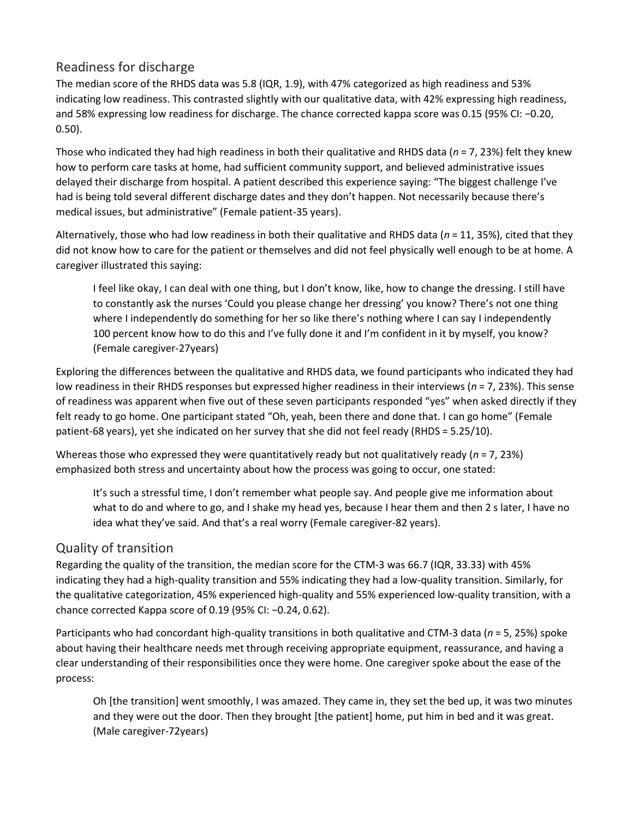## Readiness for discharge

The median score of the RHDS data was 5.8 (IQR, 1.9), with 47% categorized as high readiness and 53% indicating low readiness. This contrasted slightly with our qualitative data, with 42% expressing high readiness, and 58% expressing low readiness for discharge. The chance corrected kappa score was 0.15 (95% CI: −0.20, 0.50).

Those who indicated they had high readiness in both their qualitative and RHDS data (*n* = 7, 23%) felt they knew how to perform care tasks at home, had sufficient community support, and believed administrative issues delayed their discharge from hospital. A patient described this experience saying: "The biggest challenge I've had is being told several different discharge dates and they don't happen. Not necessarily because there's medical issues, but administrative" (Female patient-35 years).

Alternatively, those who had low readiness in both their qualitative and RHDS data (*n* = 11, 35%), cited that they did not know how to care for the patient or themselves and did not feel physically well enough to be at home. A caregiver illustrated this saying:

I feel like okay, I can deal with one thing, but I don't know, like, how to change the dressing. I still have to constantly ask the nurses 'Could you please change her dressing' you know? There's not one thing where I independently do something for her so like there's nothing where I can say I independently 100 percent know how to do this and I've fully done it and I'm confident in it by myself, you know? (Female caregiver-27years)

Exploring the differences between the qualitative and RHDS data, we found participants who indicated they had low readiness in their RHDS responses but expressed higher readiness in their interviews (*n* = 7, 23%). This sense of readiness was apparent when five out of these seven participants responded "yes" when asked directly if they felt ready to go home. One participant stated "Oh, yeah, been there and done that. I can go home" (Female patient-68 years), yet she indicated on her survey that she did not feel ready (RHDS = 5.25/10).

Whereas those who expressed they were quantitatively ready but not qualitatively ready (*n* = 7, 23%) emphasized both stress and uncertainty about how the process was going to occur, one stated:

It's such a stressful time, I don't remember what people say. And people give me information about what to do and where to go, and I shake my head yes, because I hear them and then 2 s later, I have no idea what they've said. And that's a real worry (Female caregiver-82 years).

## Quality of transition

Regarding the quality of the transition, the median score for the CTM-3 was 66.7 (IQR, 33.33) with 45% indicating they had a high-quality transition and 55% indicating they had a low-quality transition. Similarly, for the qualitative categorization, 45% experienced high-quality and 55% experienced low-quality transition, with a chance corrected Kappa score of 0.19 (95% CI: −0.24, 0.62).

Participants who had concordant high-quality transitions in both qualitative and CTM-3 data (*n* = 5, 25%) spoke about having their healthcare needs met through receiving appropriate equipment, reassurance, and having a clear understanding of their responsibilities once they were home. One caregiver spoke about the ease of the process:

Oh [the transition] went smoothly, I was amazed. They came in, they set the bed up, it was two minutes and they were out the door. Then they brought [the patient] home, put him in bed and it was great. (Male caregiver-72years)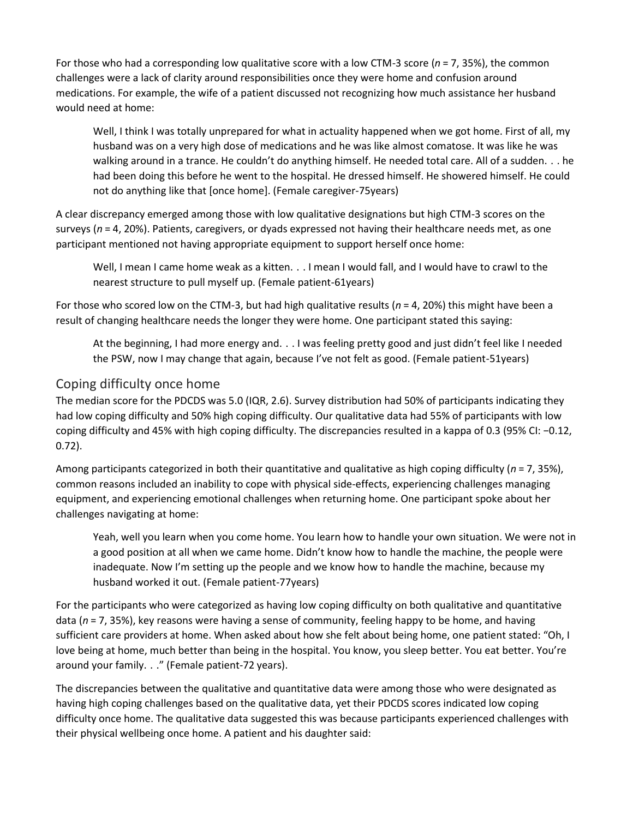For those who had a corresponding low qualitative score with a low CTM-3 score (*n* = 7, 35%), the common challenges were a lack of clarity around responsibilities once they were home and confusion around medications. For example, the wife of a patient discussed not recognizing how much assistance her husband would need at home:

Well, I think I was totally unprepared for what in actuality happened when we got home. First of all, my husband was on a very high dose of medications and he was like almost comatose. It was like he was walking around in a trance. He couldn't do anything himself. He needed total care. All of a sudden. . . he had been doing this before he went to the hospital. He dressed himself. He showered himself. He could not do anything like that [once home]. (Female caregiver-75years)

A clear discrepancy emerged among those with low qualitative designations but high CTM-3 scores on the surveys (*n* = 4, 20%). Patients, caregivers, or dyads expressed not having their healthcare needs met, as one participant mentioned not having appropriate equipment to support herself once home:

Well, I mean I came home weak as a kitten. . . I mean I would fall, and I would have to crawl to the nearest structure to pull myself up. (Female patient-61years)

For those who scored low on the CTM-3, but had high qualitative results (*n* = 4, 20%) this might have been a result of changing healthcare needs the longer they were home. One participant stated this saying:

At the beginning, I had more energy and. . . I was feeling pretty good and just didn't feel like I needed the PSW, now I may change that again, because I've not felt as good. (Female patient-51years)

#### Coping difficulty once home

The median score for the PDCDS was 5.0 (IQR, 2.6). Survey distribution had 50% of participants indicating they had low coping difficulty and 50% high coping difficulty. Our qualitative data had 55% of participants with low coping difficulty and 45% with high coping difficulty. The discrepancies resulted in a kappa of 0.3 (95% CI: −0.12, 0.72).

Among participants categorized in both their quantitative and qualitative as high coping difficulty (*n* = 7, 35%), common reasons included an inability to cope with physical side-effects, experiencing challenges managing equipment, and experiencing emotional challenges when returning home. One participant spoke about her challenges navigating at home:

Yeah, well you learn when you come home. You learn how to handle your own situation. We were not in a good position at all when we came home. Didn't know how to handle the machine, the people were inadequate. Now I'm setting up the people and we know how to handle the machine, because my husband worked it out. (Female patient-77years)

For the participants who were categorized as having low coping difficulty on both qualitative and quantitative data (*n* = 7, 35%), key reasons were having a sense of community, feeling happy to be home, and having sufficient care providers at home. When asked about how she felt about being home, one patient stated: "Oh, I love being at home, much better than being in the hospital. You know, you sleep better. You eat better. You're around your family. . ." (Female patient-72 years).

The discrepancies between the qualitative and quantitative data were among those who were designated as having high coping challenges based on the qualitative data, yet their PDCDS scores indicated low coping difficulty once home. The qualitative data suggested this was because participants experienced challenges with their physical wellbeing once home. A patient and his daughter said: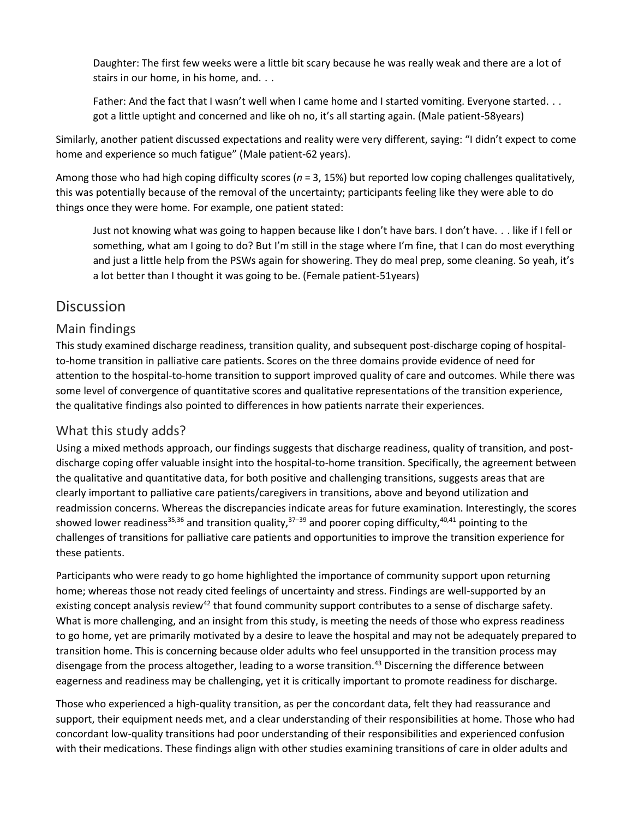Daughter: The first few weeks were a little bit scary because he was really weak and there are a lot of stairs in our home, in his home, and.  $\ldots$ 

Father: And the fact that I wasn't well when I came home and I started vomiting. Everyone started. . . got a little uptight and concerned and like oh no, it's all starting again. (Male patient-58years)

Similarly, another patient discussed expectations and reality were very different, saying: "I didn't expect to come home and experience so much fatigue" (Male patient-62 years).

Among those who had high coping difficulty scores (*n* = 3, 15%) but reported low coping challenges qualitatively, this was potentially because of the removal of the uncertainty; participants feeling like they were able to do things once they were home. For example, one patient stated:

Just not knowing what was going to happen because like I don't have bars. I don't have. . . like if I fell or something, what am I going to do? But I'm still in the stage where I'm fine, that I can do most everything and just a little help from the PSWs again for showering. They do meal prep, some cleaning. So yeah, it's a lot better than I thought it was going to be. (Female patient-51years)

## **Discussion**

## Main findings

This study examined discharge readiness, transition quality, and subsequent post-discharge coping of hospitalto-home transition in palliative care patients. Scores on the three domains provide evidence of need for attention to the hospital-to-home transition to support improved quality of care and outcomes. While there was some level of convergence of quantitative scores and qualitative representations of the transition experience, the qualitative findings also pointed to differences in how patients narrate their experiences.

## What this study adds?

Using a mixed methods approach, our findings suggests that discharge readiness, quality of transition, and postdischarge coping offer valuable insight into the hospital-to-home transition. Specifically, the agreement between the qualitative and quantitative data, for both positive and challenging transitions, suggests areas that are clearly important to palliative care patients/caregivers in transitions, above and beyond utilization and readmission concerns. Whereas the discrepancies indicate areas for future examination. Interestingly, the scores showed lower readiness<sup>35,36</sup> and transition quality,<sup>37–39</sup> and poorer coping difficulty,<sup>40,41</sup> pointing to the challenges of transitions for palliative care patients and opportunities to improve the transition experience for these patients.

Participants who were ready to go home highlighted the importance of community support upon returning home; whereas those not ready cited feelings of uncertainty and stress. Findings are well-supported by an existing concept analysis review<sup>42</sup> that found community support contributes to a sense of discharge safety. What is more challenging, and an insight from this study, is meeting the needs of those who express readiness to go home, yet are primarily motivated by a desire to leave the hospital and may not be adequately prepared to transition home. This is concerning because older adults who feel unsupported in the transition process may disengage from the process altogether, leading to a worse transition.<sup>43</sup> Discerning the difference between eagerness and readiness may be challenging, yet it is critically important to promote readiness for discharge.

Those who experienced a high-quality transition, as per the concordant data, felt they had reassurance and support, their equipment needs met, and a clear understanding of their responsibilities at home. Those who had concordant low-quality transitions had poor understanding of their responsibilities and experienced confusion with their medications. These findings align with other studies examining transitions of care in older adults and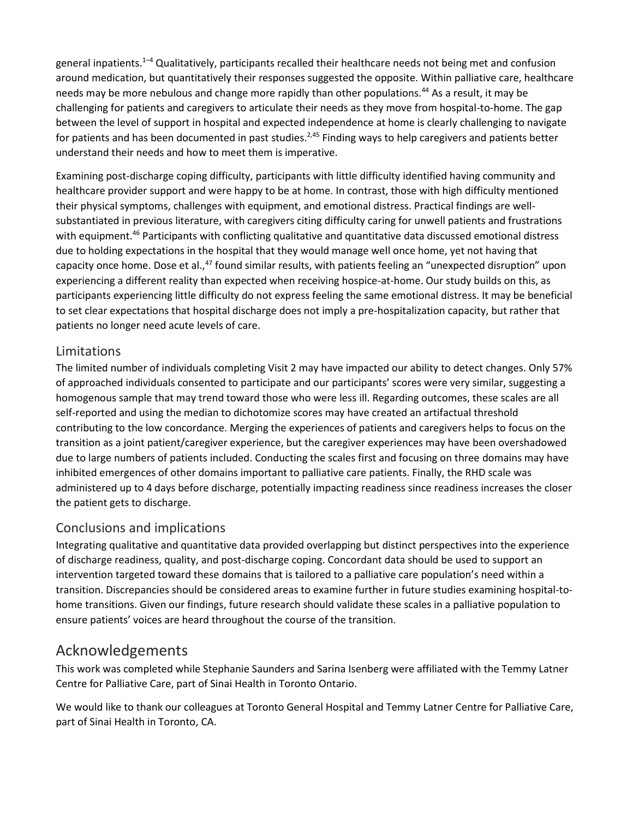general inpatients.<sup>1-4</sup> Qualitatively, participants recalled their healthcare needs not being met and confusion around medication, but quantitatively their responses suggested the opposite. Within palliative care, healthcare needs may be more nebulous and change more rapidly than other populations.<sup>44</sup> As a result, it may be challenging for patients and caregivers to articulate their needs as they move from hospital-to-home. The gap between the level of support in hospital and expected independence at home is clearly challenging to navigate for patients and has been documented in past studies.<sup>2,45</sup> Finding ways to help caregivers and patients better understand their needs and how to meet them is imperative.

Examining post-discharge coping difficulty, participants with little difficulty identified having community and healthcare provider support and were happy to be at home. In contrast, those with high difficulty mentioned their physical symptoms, challenges with equipment, and emotional distress. Practical findings are wellsubstantiated in previous literature, with caregivers citing difficulty caring for unwell patients and frustrations with equipment.<sup>46</sup> Participants with conflicting qualitative and quantitative data discussed emotional distress due to holding expectations in the hospital that they would manage well once home, yet not having that capacity once home. Dose et al.,<sup>47</sup> found similar results, with patients feeling an "unexpected disruption" upon experiencing a different reality than expected when receiving hospice-at-home. Our study builds on this, as participants experiencing little difficulty do not express feeling the same emotional distress. It may be beneficial to set clear expectations that hospital discharge does not imply a pre-hospitalization capacity, but rather that patients no longer need acute levels of care.

#### Limitations

The limited number of individuals completing Visit 2 may have impacted our ability to detect changes. Only 57% of approached individuals consented to participate and our participants' scores were very similar, suggesting a homogenous sample that may trend toward those who were less ill. Regarding outcomes, these scales are all self-reported and using the median to dichotomize scores may have created an artifactual threshold contributing to the low concordance. Merging the experiences of patients and caregivers helps to focus on the transition as a joint patient/caregiver experience, but the caregiver experiences may have been overshadowed due to large numbers of patients included. Conducting the scales first and focusing on three domains may have inhibited emergences of other domains important to palliative care patients. Finally, the RHD scale was administered up to 4 days before discharge, potentially impacting readiness since readiness increases the closer the patient gets to discharge.

## Conclusions and implications

Integrating qualitative and quantitative data provided overlapping but distinct perspectives into the experience of discharge readiness, quality, and post-discharge coping. Concordant data should be used to support an intervention targeted toward these domains that is tailored to a palliative care population's need within a transition. Discrepancies should be considered areas to examine further in future studies examining hospital-tohome transitions. Given our findings, future research should validate these scales in a palliative population to ensure patients' voices are heard throughout the course of the transition.

## Acknowledgements

This work was completed while Stephanie Saunders and Sarina Isenberg were affiliated with the Temmy Latner Centre for Palliative Care, part of Sinai Health in Toronto Ontario.

We would like to thank our colleagues at Toronto General Hospital and Temmy Latner Centre for Palliative Care, part of Sinai Health in Toronto, CA.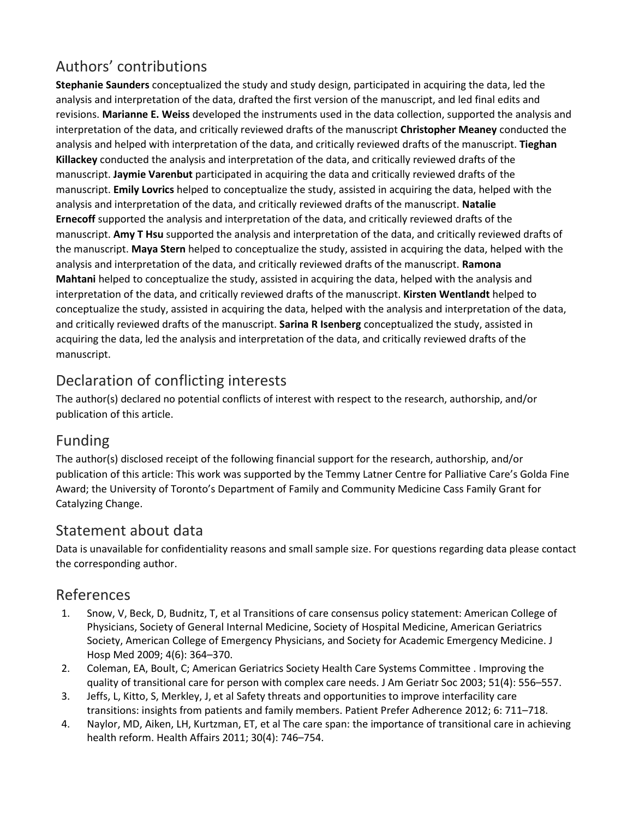# Authors' contributions

**Stephanie Saunders** conceptualized the study and study design, participated in acquiring the data, led the analysis and interpretation of the data, drafted the first version of the manuscript, and led final edits and revisions. **Marianne E. Weiss** developed the instruments used in the data collection, supported the analysis and interpretation of the data, and critically reviewed drafts of the manuscript **Christopher Meaney** conducted the analysis and helped with interpretation of the data, and critically reviewed drafts of the manuscript. **Tieghan Killackey** conducted the analysis and interpretation of the data, and critically reviewed drafts of the manuscript. **Jaymie Varenbut** participated in acquiring the data and critically reviewed drafts of the manuscript. **Emily Lovrics** helped to conceptualize the study, assisted in acquiring the data, helped with the analysis and interpretation of the data, and critically reviewed drafts of the manuscript. **Natalie Ernecoff** supported the analysis and interpretation of the data, and critically reviewed drafts of the manuscript. **Amy T Hsu** supported the analysis and interpretation of the data, and critically reviewed drafts of the manuscript. **Maya Stern** helped to conceptualize the study, assisted in acquiring the data, helped with the analysis and interpretation of the data, and critically reviewed drafts of the manuscript. **Ramona Mahtani** helped to conceptualize the study, assisted in acquiring the data, helped with the analysis and interpretation of the data, and critically reviewed drafts of the manuscript. **Kirsten Wentlandt** helped to conceptualize the study, assisted in acquiring the data, helped with the analysis and interpretation of the data, and critically reviewed drafts of the manuscript. **Sarina R Isenberg** conceptualized the study, assisted in acquiring the data, led the analysis and interpretation of the data, and critically reviewed drafts of the manuscript.

# Declaration of conflicting interests

The author(s) declared no potential conflicts of interest with respect to the research, authorship, and/or publication of this article.

# Funding

The author(s) disclosed receipt of the following financial support for the research, authorship, and/or publication of this article: This work was supported by the Temmy Latner Centre for Palliative Care's Golda Fine Award; the University of Toronto's Department of Family and Community Medicine Cass Family Grant for Catalyzing Change.

## Statement about data

Data is unavailable for confidentiality reasons and small sample size. For questions regarding data please contact the corresponding author.

## References

- 1. Snow, V, Beck, D, Budnitz, T, et al Transitions of care consensus policy statement: American College of Physicians, Society of General Internal Medicine, Society of Hospital Medicine, American Geriatrics Society, American College of Emergency Physicians, and Society for Academic Emergency Medicine. J Hosp Med 2009; 4(6): 364–370.
- 2. Coleman, EA, Boult, C; American Geriatrics Society Health Care Systems Committee . Improving the quality of transitional care for person with complex care needs. J Am Geriatr Soc 2003; 51(4): 556–557.
- 3. Jeffs, L, Kitto, S, Merkley, J, et al Safety threats and opportunities to improve interfacility care transitions: insights from patients and family members. Patient Prefer Adherence 2012; 6: 711–718.
- 4. Naylor, MD, Aiken, LH, Kurtzman, ET, et al The care span: the importance of transitional care in achieving health reform. Health Affairs 2011; 30(4): 746–754.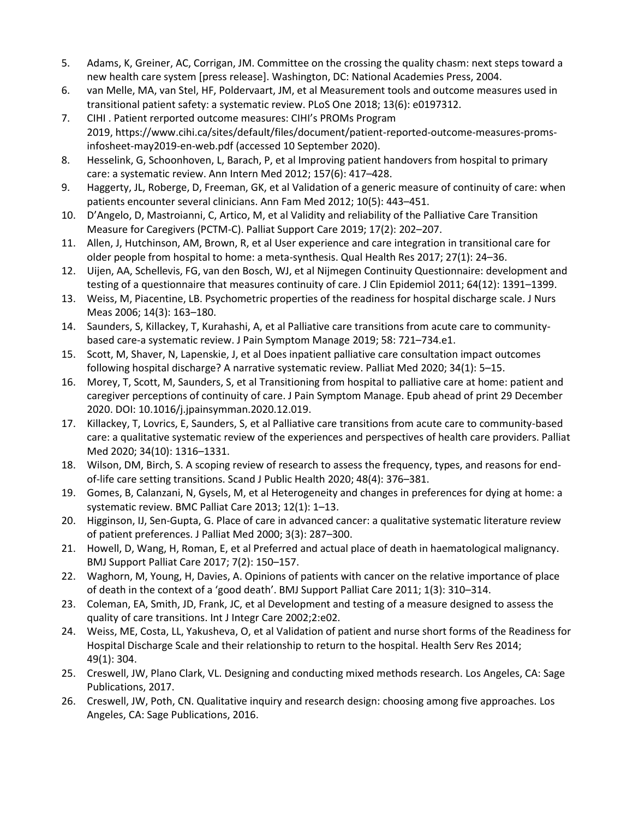- 5. Adams, K, Greiner, AC, Corrigan, JM. Committee on the crossing the quality chasm: next steps toward a new health care system [press release]. Washington, DC: National Academies Press, 2004.
- 6. van Melle, MA, van Stel, HF, Poldervaart, JM, et al Measurement tools and outcome measures used in transitional patient safety: a systematic review. PLoS One 2018; 13(6): e0197312.
- 7. CIHI . Patient rerported outcome measures: CIHI's PROMs Program 2019, https://www.cihi.ca/sites/default/files/document/patient-reported-outcome-measures-promsinfosheet-may2019-en-web.pdf (accessed 10 September 2020).
- 8. Hesselink, G, Schoonhoven, L, Barach, P, et al Improving patient handovers from hospital to primary care: a systematic review. Ann Intern Med 2012; 157(6): 417–428.
- 9. Haggerty, JL, Roberge, D, Freeman, GK, et al Validation of a generic measure of continuity of care: when patients encounter several clinicians. Ann Fam Med 2012; 10(5): 443–451.
- 10. D'Angelo, D, Mastroianni, C, Artico, M, et al Validity and reliability of the Palliative Care Transition Measure for Caregivers (PCTM-C). Palliat Support Care 2019; 17(2): 202–207.
- 11. Allen, J, Hutchinson, AM, Brown, R, et al User experience and care integration in transitional care for older people from hospital to home: a meta-synthesis. Qual Health Res 2017; 27(1): 24–36.
- 12. Uijen, AA, Schellevis, FG, van den Bosch, WJ, et al Nijmegen Continuity Questionnaire: development and testing of a questionnaire that measures continuity of care. J Clin Epidemiol 2011; 64(12): 1391–1399.
- 13. Weiss, M, Piacentine, LB. Psychometric properties of the readiness for hospital discharge scale. J Nurs Meas 2006; 14(3): 163–180.
- 14. Saunders, S, Killackey, T, Kurahashi, A, et al Palliative care transitions from acute care to communitybased care-a systematic review. J Pain Symptom Manage 2019; 58: 721–734.e1.
- 15. Scott, M, Shaver, N, Lapenskie, J, et al Does inpatient palliative care consultation impact outcomes following hospital discharge? A narrative systematic review. Palliat Med 2020; 34(1): 5–15.
- 16. Morey, T, Scott, M, Saunders, S, et al Transitioning from hospital to palliative care at home: patient and caregiver perceptions of continuity of care. J Pain Symptom Manage. Epub ahead of print 29 December 2020. DOI: 10.1016/j.jpainsymman.2020.12.019.
- 17. Killackey, T, Lovrics, E, Saunders, S, et al Palliative care transitions from acute care to community-based care: a qualitative systematic review of the experiences and perspectives of health care providers. Palliat Med 2020; 34(10): 1316–1331.
- 18. Wilson, DM, Birch, S. A scoping review of research to assess the frequency, types, and reasons for endof-life care setting transitions. Scand J Public Health 2020; 48(4): 376–381.
- 19. Gomes, B, Calanzani, N, Gysels, M, et al Heterogeneity and changes in preferences for dying at home: a systematic review. BMC Palliat Care 2013; 12(1): 1–13.
- 20. Higginson, IJ, Sen-Gupta, G. Place of care in advanced cancer: a qualitative systematic literature review of patient preferences. J Palliat Med 2000; 3(3): 287–300.
- 21. Howell, D, Wang, H, Roman, E, et al Preferred and actual place of death in haematological malignancy. BMJ Support Palliat Care 2017; 7(2): 150–157.
- 22. Waghorn, M, Young, H, Davies, A. Opinions of patients with cancer on the relative importance of place of death in the context of a 'good death'. BMJ Support Palliat Care 2011; 1(3): 310–314.
- 23. Coleman, EA, Smith, JD, Frank, JC, et al Development and testing of a measure designed to assess the quality of care transitions. Int J Integr Care 2002;2:e02.
- 24. Weiss, ME, Costa, LL, Yakusheva, O, et al Validation of patient and nurse short forms of the Readiness for Hospital Discharge Scale and their relationship to return to the hospital. Health Serv Res 2014; 49(1): 304.
- 25. Creswell, JW, Plano Clark, VL. Designing and conducting mixed methods research. Los Angeles, CA: Sage Publications, 2017.
- 26. Creswell, JW, Poth, CN. Qualitative inquiry and research design: choosing among five approaches. Los Angeles, CA: Sage Publications, 2016.